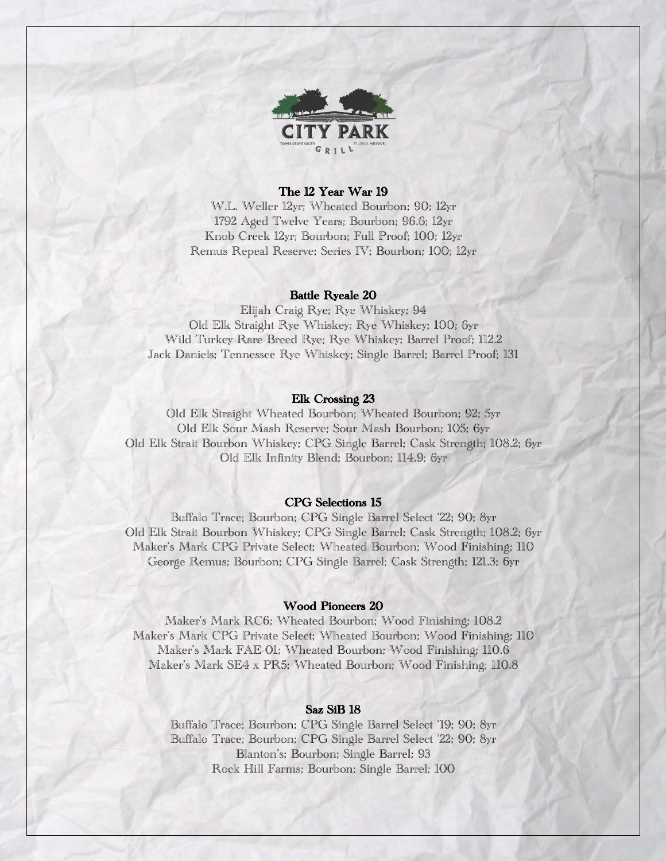

## The 12 Year War 19

W.L. Weller 12yr; Wheated Bourbon; 90; 12yr 1792 Aged Twelve Years; Bourbon; 96.6; 12yr Knob Creek 12yr; Bourbon; Full Proof; 100; 12yr Remus Repeal Reserve; Series IV; Bourbon; 100; 12yr

### Battle Ryeale 20

Elijah Craig Rye; Rye Whiskey; 94 Old Elk Straight Rye Whiskey; Rye Whiskey; 100; 6yr Wild Turkey Rare Breed Rye; Rye Whiskey; Barrel Proof; 112.2 Jack Daniels; Tennessee Rye Whiskey; Single Barrel; Barrel Proof; 131

### Elk Crossing 23

Old Elk Straight Wheated Bourbon; Wheated Bourbon; 92; 5yr Old Elk Sour Mash Reserve; Sour Mash Bourbon; 105; 6yr Old Elk Strait Bourbon Whiskey; CPG Single Barrel; Cask Strength; 108.2; 6yr Old Elk Infinity Blend; Bourbon; 114.9; 6yr

# CPG Selections 15

Buffalo Trace; Bourbon; CPG Single Barrel Select '22; 90; 8yr Old Elk Strait Bourbon Whiskey; CPG Single Barrel; Cask Strength; 108.2; 6yr Maker's Mark CPG Private Select; Wheated Bourbon; Wood Finishing; 110 George Remus; Bourbon; CPG Single Barrel; Cask Strength; 121.3; 6yr

# Wood Pioneers 20

Maker's Mark RC6; Wheated Bourbon; Wood Finishing; 108.2 Maker's Mark CPG Private Select; Wheated Bourbon; Wood Finishing; 110 Maker's Mark FAE-01; Wheated Bourbon; Wood Finishing; 110.6 Maker's Mark SE4 x PR5; Wheated Bourbon; Wood Finishing; 110.8

### Saz SiB 18

Buffalo Trace; Bourbon; CPG Single Barrel Select '19; 90; 8yr Buffalo Trace; Bourbon; CPG Single Barrel Select '22; 90; 8yr Blanton's; Bourbon; Single Barrel; 93 Rock Hill Farms; Bourbon; Single Barrel; 100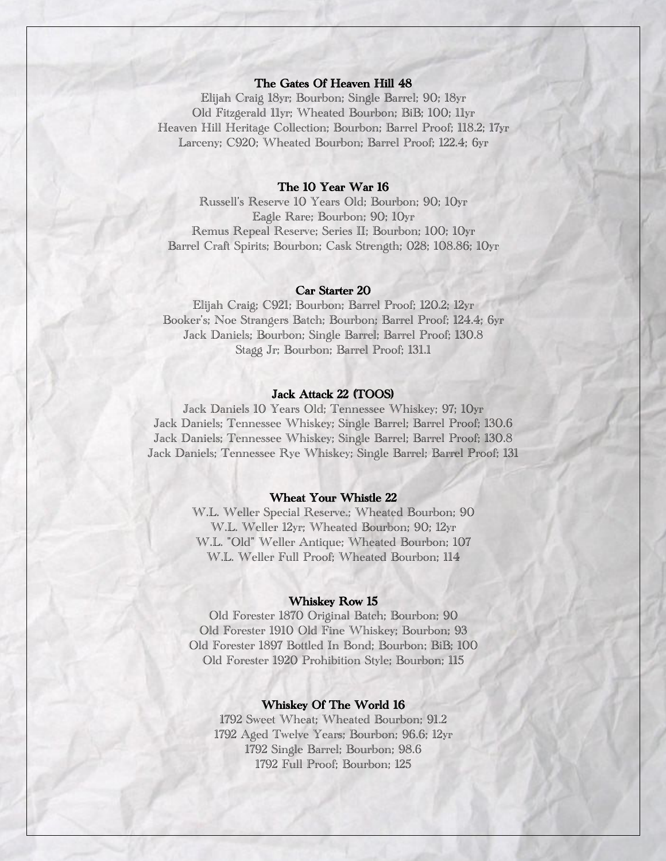# The Gates Of Heaven Hill 48

Elijah Craig 18yr; Bourbon; Single Barrel; 90; 18yr Old Fitzgerald 11yr; Wheated Bourbon; BiB; 100; 11yr Heaven Hill Heritage Collection; Bourbon; Barrel Proof; 118.2; 17yr Larceny; C920; Wheated Bourbon; Barrel Proof; 122.4; 6yr

# The 10 Year War 16

Russell's Reserve 10 Years Old; Bourbon; 90; 10yr Eagle Rare; Bourbon; 90; 10yr Remus Repeal Reserve; Series II; Bourbon; 100; 10yr Barrel Craft Spirits; Bourbon; Cask Strength; 028; 108.86; 10yr

#### Car Starter 20

Elijah Craig; C921; Bourbon; Barrel Proof; 120.2; 12yr Booker's; Noe Strangers Batch; Bourbon; Barrel Proof; 124.4; 6yr Jack Daniels; Bourbon; Single Barrel; Barrel Proof; 130.8 Stagg Jr; Bourbon; Barrel Proof; 131.1

# Jack Attack 22 (TOOS)

Jack Daniels 10 Years Old; Tennessee Whiskey; 97; 10yr Jack Daniels; Tennessee Whiskey; Single Barrel; Barrel Proof; 130.6 Jack Daniels; Tennessee Whiskey; Single Barrel; Barrel Proof; 130.8 Jack Daniels; Tennessee Rye Whiskey; Single Barrel; Barrel Proof; 131

## Wheat Your Whistle 22

W.L. Weller Special Reserve.; Wheated Bourbon; 90 W.L. Weller 12yr; Wheated Bourbon; 90; 12yr W.L. "Old" Weller Antique; Wheated Bourbon; 107 W.L. Weller Full Proof; Wheated Bourbon; 114

### Whiskey Row 15

Old Forester 1870 Original Batch; Bourbon; 90 Old Forester 1910 Old Fine Whiskey; Bourbon; 93 Old Forester 1897 Bottled In Bond; Bourbon; BiB; 100 Old Forester 1920 Prohibition Style; Bourbon; 115

## Whiskey Of The World 16

1792 Sweet Wheat; Wheated Bourbon; 91.2 1792 Aged Twelve Years; Bourbon; 96.6; 12yr 1792 Single Barrel; Bourbon; 98.6 1792 Full Proof; Bourbon; 125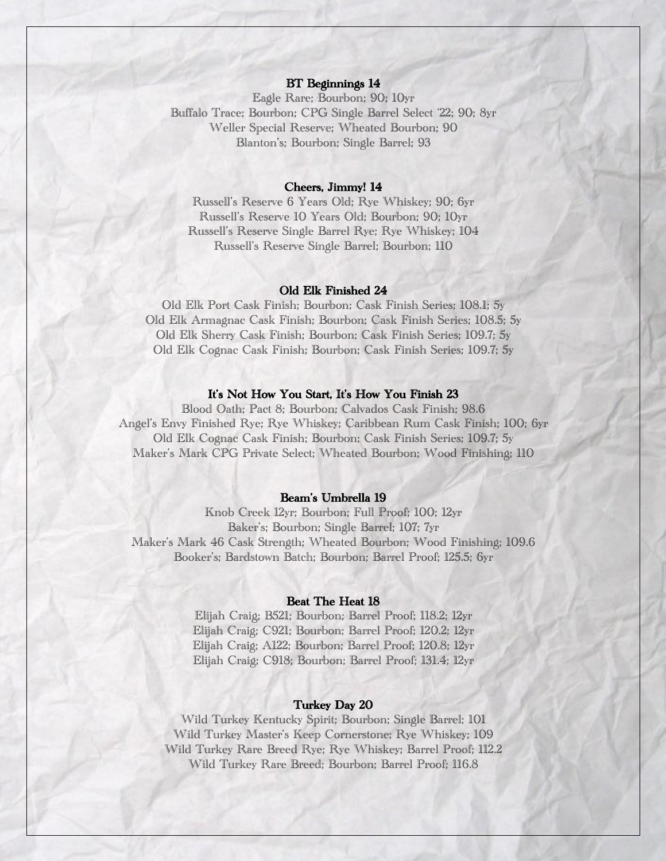## BT Beginnings 14

Eagle Rare; Bourbon; 90; 10yr Buffalo Trace; Bourbon; CPG Single Barrel Select '22; 90; 8yr Weller Special Reserve; Wheated Bourbon; 90 Blanton's; Bourbon; Single Barrel; 93

## Cheers, Jimmy! 14

Russell's Reserve 6 Years Old; Rye Whiskey; 90; 6yr Russell's Reserve 10 Years Old; Bourbon; 90; 10yr Russell's Reserve Single Barrel Rye; Rye Whiskey; 104 Russell's Reserve Single Barrel; Bourbon; 110

### Old Elk Finished 24

Old Elk Port Cask Finish; Bourbon; Cask Finish Series; 108.1; 5y Old Elk Armagnac Cask Finish; Bourbon; Cask Finish Series; 108.5; 5y Old Elk Sherry Cask Finish; Bourbon; Cask Finish Series; 109.7; 5y Old Elk Cognac Cask Finish; Bourbon; Cask Finish Series; 109.7; 5y

# It's Not How You Start, It's How You Finish 23

Blood Oath; Pact 8; Bourbon; Calvados Cask Finish; 98.6 Angel's Envy Finished Rye; Rye Whiskey; Caribbean Rum Cask Finish; 100; 6yr Old Elk Cognac Cask Finish; Bourbon; Cask Finish Series; 109.7; 5y Maker's Mark CPG Private Select; Wheated Bourbon; Wood Finishing; 110

# Beam's Umbrella 19

Knob Creek 12yr; Bourbon; Full Proof; 100; 12yr Baker's; Bourbon; Single Barrel; 107; 7yr Maker's Mark 46 Cask Strength; Wheated Bourbon; Wood Finishing; 109.6 Booker's; Bardstown Batch; Bourbon; Barrel Proof; 125.5; 6yr

### Beat The Heat 18

Elijah Craig; B521; Bourbon; Barrel Proof; 118.2; 12yr Elijah Craig; C921; Bourbon; Barrel Proof; 120.2; 12yr Elijah Craig; A122; Bourbon; Barrel Proof; 120.8; 12yr Elijah Craig; C918; Bourbon; Barrel Proof; 131.4; 12yr

## Turkey Day 20

Wild Turkey Kentucky Spirit; Bourbon; Single Barrel; 101 Wild Turkey Master's Keep Cornerstone; Rye Whiskey; 109 Wild Turkey Rare Breed Rye; Rye Whiskey; Barrel Proof; 112.2 Wild Turkey Rare Breed; Bourbon; Barrel Proof; 116.8